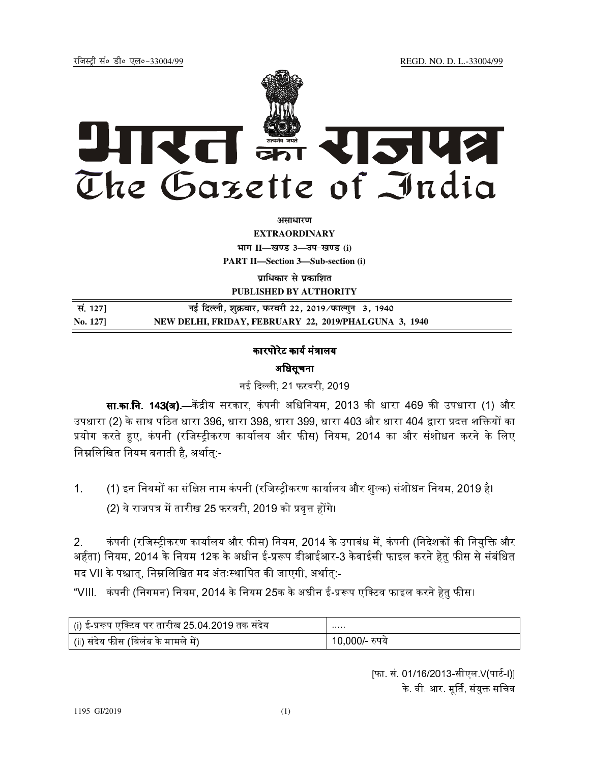REGD. NO. D. L.-33004/99

रजिस्टी सं० डी० एल०-33004/99



अमाधारण

**EXTRAORDINARY** भाग II-खण्ड 3-उप-खण्ड (i) **PART II-Section 3-Sub-section (i)** 

प्राधिकार से प्रकाशित PUBLISHED BY AUTHORITY

| सं. 127] | नई दिल्ली, शुक्रवार, फरवरी 22, 2019 ∕फाल्गुन  3, 1940 |
|----------|-------------------------------------------------------|
| No. 1271 | NEW DELHI, FRIDAY, FEBRUARY 22, 2019/PHALGUNA 3, 1940 |

## कारपोरेट कार्य मंत्रालय अधिसूचना

नई दिल्ली, 21 फरवरी, 2019

सा.का.नि. 143(ब).—केंद्रीय सरकार, कंपनी अधिनियम, 2013 की धारा 469 की उपधारा (1) और उपधारा (2) के साथ पठित धारा 396, धारा 398, धारा 399, धारा 403 और धारा 404 द्वारा प्रदत्त शक्तियों का प्रयोग करते हुए, कंपनी (रजिस्ट्रीकरण कार्यालय और फीस) नियम, 2014 का और संशोधन करने के लिए निम्नलिखित नियम बनाती है, अर्थातु:-

(1) इन नियमों का संक्षिप्त नाम कंपनी (रजिस्ट्रीकरण कार्यालय और शुल्क) संशोधन नियम, 2019 है।  $1<sub>1</sub>$ 

(2) ये राजपत्र में तारीख 25 फरवरी, 2019 को प्रवृत्त होंगे।

कंपनी (रजिस्ट्रीकरण कार्यालय और फीस) नियम, 2014 के उपाबंध में, कंपनी (निदेशकों की नियक्ति और  $2.$ अर्हता) नियम, 2014 के नियम 12क के अधीन ई-प्ररूप डीआईआर-3 केवाईसी फाइल करने हेतु फीस से संबंधित मद VII के पश्चात्, निम्नलिखित मद अंतःस्थापित की जाएगी, अर्थात्:-

"VIII. कंपनी (निगमन) नियम, 2014 के नियम 25क के अधीन ई-प्ररूप एक्टिव फाइल करने हेतु फीस।

| (i) ई-प्ररूप एक्टिव पर तारीख 25.04.2019 तक संदेय | <b>CONTRACTOR</b> |
|--------------------------------------------------|-------------------|
| (ii) संदेय फीस (विलंब के मामले में)              | 10,000/- रुपये    |

|फा. सं. 01/16/2013-सीएल V(पार्ट-I)| के. वी. आर. मूर्ति, संयुक्त सचिव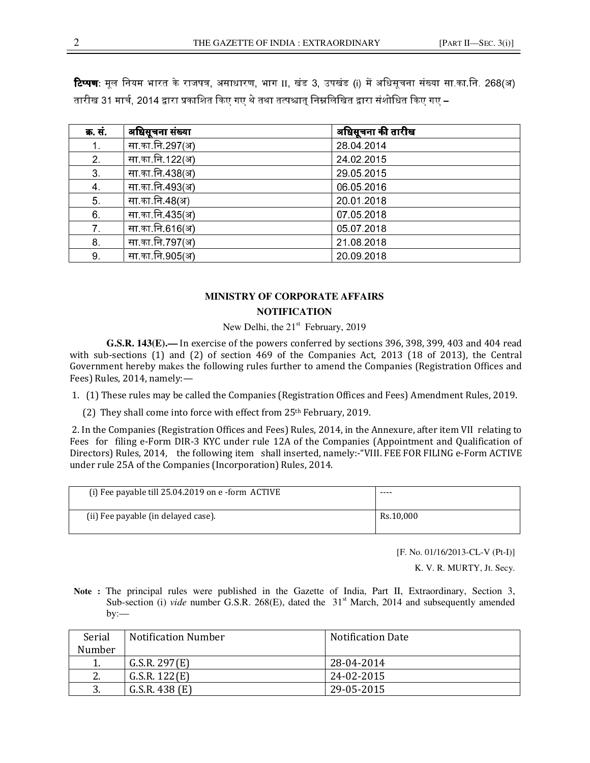**टिप्पण:** मूल नियम भारत के राजपत्र, असाधारण, भाग II, खंड 3, उपखंड (i) में अधिसूचना संख्या सा.का.नि. 268(अ) तारीख 31 मार्च. 2014 द्वारा प्रकाशित किए गए थे तथा तत्पश्चात निम्नलिखित द्वारा संशोधित किए गए –

| क्र. सं        | अधिसूचना संख्या | अधिसूचना की तारीख |
|----------------|-----------------|-------------------|
| 1.             | सा का नि 297(अ) | 28 04 2014        |
| 2.             | सा का नि 122(अ) | 24 02 2015        |
| 3 <sub>1</sub> | सा का नि 438(अ) | 29 05 2015        |
| $\overline{4}$ | सा का नि 493(अ) | 06 05 2016        |
| 5 <sub>1</sub> | सा का नि 48(अ)  | 20 01 2018        |
| 6.             | सा का नि 435(अ) | 07 05 2018        |
| 7 <sup>1</sup> | सा का नि 616(अ) | 05 07 2018        |
| 8              | सा का नि 797(अ) | 21 08 2018        |
| 9              | सा का नि 905(अ) | 20 09 2018        |

## **MINISTRY OF CORPORATE AFFAIRS NOTIFICATION**

New Delhi, the  $21<sup>st</sup>$  February, 2019

**G.S.R. 143(E).—** In exercise of the powers conferred by sections 396, 398, 399, 403 and 404 read with sub-sections (1) and (2) of section 469 of the Companies Act, 2013 (18 of 2013), the Central Government hereby makes the following rules further to amend the Companies (Registration Offices and Fees) Rules, 2014, namely:—

- 1. (1) These rules may be called the Companies (Registration Offices and Fees) Amendment Rules, 2019.
	- (2) They shall come into force with effect from  $25<sup>th</sup>$  February, 2019.

 2. In the Companies (Registration Offices and Fees) Rules, 2014, in the Annexure, after item VII relating to Fees for filing e-Form DIR-3 KYC under rule 12A of the Companies (Appointment and Qualification of Directors) Rules, 2014, the following item shall inserted, namely:-"VIII. FEE FOR FILING e-Form ACTIVE under rule 25A of the Companies (Incorporation) Rules, 2014.

| (i) Fee payable till $25.04.2019$ on e-form ACTIVE | $- - - -$ |
|----------------------------------------------------|-----------|
| (ii) Fee payable (in delayed case).                | Rs.10.000 |

[F. No. 01/16/2013-CL-V (Pt-I)]

K. V. R. MURTY, Jt. Secy.

**Note :** The principal rules were published in the Gazette of India, Part II, Extraordinary, Section 3, Sub-section (i) *vide* number G.S.R. 268(E), dated the 31<sup>st</sup> March, 2014 and subsequently amended by:—

| Serial              | <b>Notification Number</b> | <b>Notification Date</b> |
|---------------------|----------------------------|--------------------------|
| Number              |                            |                          |
|                     | G.S.R. 297(E)              | 28-04-2014               |
| $\mathcal{D}$<br>Ζ. | G.S.R. 122(E)              | 24-02-2015               |
| J.                  | G.S.R. 438 (E)             | 29-05-2015               |